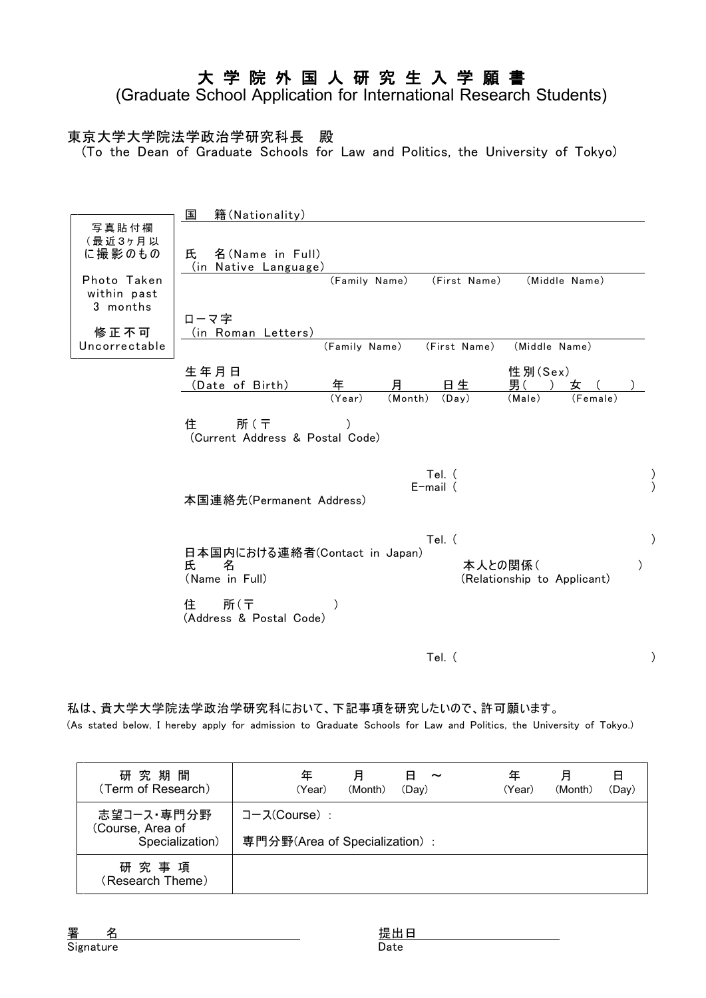## 大 学 院 外 国 人 研 究 生 入 学 願 書

(Graduate School Application for International Research Students)

#### 東京大学大学院法学政治学研究科長 殿

(To the Dean of Graduate Schools for Law and Politics, the University of Tokyo)

|                                                                      | 国<br>籍(Nationality)                                                                                                                                              |
|----------------------------------------------------------------------|------------------------------------------------------------------------------------------------------------------------------------------------------------------|
| 写真貼付欄<br>(最近3ヶ月以<br>に撮影のもの<br>Photo Taken<br>within past<br>3 months | 氏<br>名(Name in Full)<br>(in Native Language)<br>(Middle Name)<br>(Family Name)<br>(First Name)<br>ローマ字                                                           |
| 修正不可<br>Uncorrectable                                                | (in Roman Letters)<br>(Family Name)<br>(First Name)<br>(Middle Name)                                                                                             |
|                                                                      | 生年月日<br>性別(Sex)<br>月<br>年<br>男(<br>日生<br>(Date of Birth)<br>女<br>(Year)<br>(Month)<br>(Day)<br>(Male)<br>(Female)<br>所(〒<br>住<br>(Current Address & Postal Code) |
|                                                                      | Tel. (<br>$E$ -mail $($<br>本国連絡先(Permanent Address)                                                                                                              |
|                                                                      | Tel. (<br>日本国内における連絡者(Contact in Japan)<br>氏<br>名<br>本人との関係(<br>(Name in Full)<br>(Relationship to Applicant)<br>住<br>所(〒                                        |
|                                                                      | (Address & Postal Code)<br>Tel. (                                                                                                                                |

私は、貴大学大学院法学政治学研究科において、下記事項を研究したいので、許可願います。

(As stated below, I hereby apply for admission to Graduate Schools for Law and Politics, the University of Tokyo.)

| 研究期間<br>(Term of Research)                        | 年                                              | (Year) | 月<br>(Month) | н<br>$\tilde{\phantom{a}}$<br>(Dav) | 年<br>(Year) | 月<br>(Month) | H<br>(Day) |
|---------------------------------------------------|------------------------------------------------|--------|--------------|-------------------------------------|-------------|--------------|------------|
| 志望コース・専門分野<br>(Course, Area of<br>Specialization) | コース(Course) :<br>専門分野(Area of Specialization): |        |              |                                     |             |              |            |
| 研究事項<br>(Research Theme)                          |                                                |        |              |                                     |             |              |            |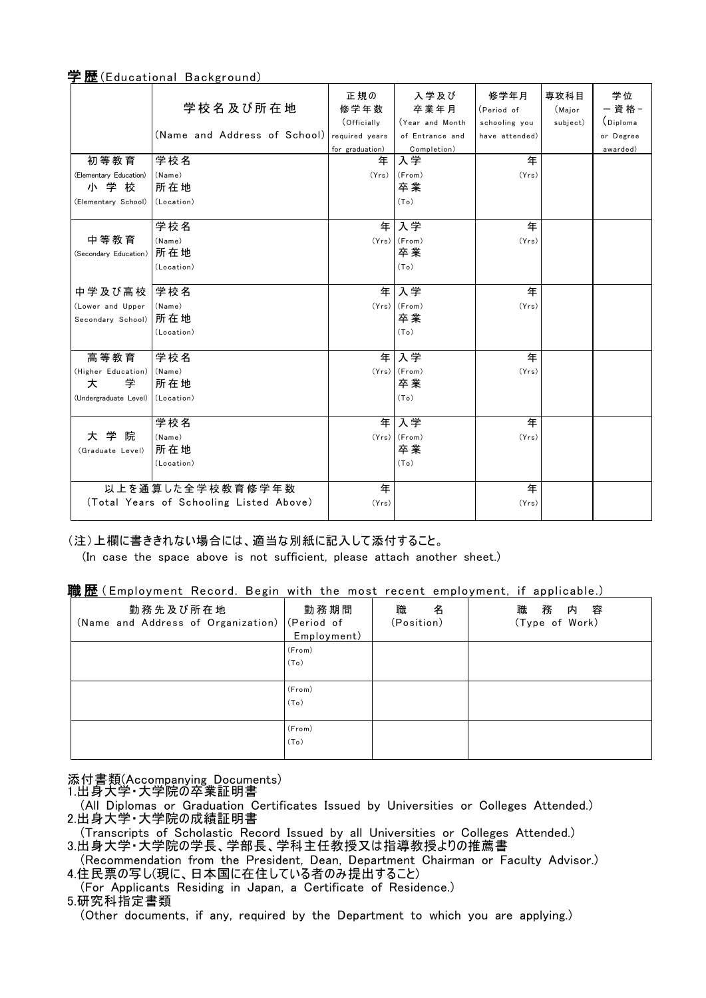|                        | <b>ALL</b> (Ladoutional Daonground)     |                 |                 |                    |                |             |
|------------------------|-----------------------------------------|-----------------|-----------------|--------------------|----------------|-------------|
|                        | 学校名及び所在地                                | 正規の<br>修学年数     | 入学及び<br>卒業年月    | 修学年月<br>(Period of | 専攻科目<br>(Major | 学位<br>- 資格- |
|                        |                                         | (Officially     | Year and Month  | schooling you      | subject)       | (Diploma    |
|                        | (Name and Address of School)            | required years  | of Entrance and | have attended)     |                | or Degree   |
|                        |                                         | for graduation) | Completion)     |                    |                | awarded)    |
| 初等教育                   | 学校名                                     | 年               | 入学              | 年                  |                |             |
| (Elementary Education) | (Name)                                  | (Yrs)           | (From)          | (Yrs)              |                |             |
| 小学校                    | 所在地                                     |                 | 卒業              |                    |                |             |
| (Elementary School)    | (Location)                              |                 | (To)            |                    |                |             |
|                        |                                         |                 |                 |                    |                |             |
|                        | 学校名                                     | 年               | 入学              | 年                  |                |             |
| 中等教育                   | (Name)                                  |                 | $(Yrs)$ (From)  | (Yrs)              |                |             |
| (Secondary Education)  | 所在地                                     |                 | 卒業              |                    |                |             |
|                        | (Location)                              |                 | (To)            |                    |                |             |
|                        |                                         |                 |                 |                    |                |             |
| 中学及び高校                 | 学校名                                     | 年               | 入学              | 年                  |                |             |
| (Lower and Upper       | (Name)                                  |                 | (Yrs) (From)    | (Yrs)              |                |             |
| Secondary School)      | 所在地                                     |                 | 卒業              |                    |                |             |
|                        | (Location)                              |                 | (To)            |                    |                |             |
|                        |                                         |                 |                 |                    |                |             |
| 高等教育                   | 学校名                                     | 年               | 入学              | 年                  |                |             |
| (Higher Education)     | (Name)                                  |                 | $(Yrs)$ (From)  | (Yrs)              |                |             |
| 大<br>学                 | 所在地                                     |                 | 卒業              |                    |                |             |
| (Undergraduate Level)  | (Location)                              |                 | (To)            |                    |                |             |
|                        |                                         |                 |                 |                    |                |             |
|                        | 学校名                                     | 年               | 入学              | 年                  |                |             |
| 大学院                    | (Name)                                  |                 | (Yrs) (From)    | (Yrs)              |                |             |
| (Graduate Level)       | 所在地                                     |                 | 卒業              |                    |                |             |
|                        | (Location)                              |                 | (To)            |                    |                |             |
|                        |                                         |                 |                 |                    |                |             |
|                        | 以上を通算した全学校教育修学年数                        | 年               |                 | 年                  |                |             |
|                        | (Total Years of Schooling Listed Above) | (Yrs)           |                 | (Yrs)              |                |             |
|                        |                                         |                 |                 |                    |                |             |

#### 学 歴 (Educational Background)

(注)上欄に書ききれない場合には、適当な別紙に記入して添付すること。

(In case the space above is not sufficient, please attach another sheet.)

#### 職歴 (Employment Record. Begin with the most recent employment, if applicable.)

| 勤務先及び所在地<br>(Name and Address of Organization) (Period of | 勤務期間<br>Employment) | 職<br>名<br>(Position) | 務<br>容<br>職<br>内<br>(Type of Work) |
|-----------------------------------------------------------|---------------------|----------------------|------------------------------------|
|                                                           | (From)              |                      |                                    |
|                                                           | (To)                |                      |                                    |
|                                                           |                     |                      |                                    |
|                                                           | (From)              |                      |                                    |
|                                                           | (To)                |                      |                                    |
|                                                           |                     |                      |                                    |
|                                                           | (From)              |                      |                                    |
|                                                           | (To)                |                      |                                    |
|                                                           |                     |                      |                                    |

添付書類(Accompanying Documents)

1.出身大学・大学院の卒業証明書

(All Diplomas or Graduation Certificates Issued by Universities or Colleges Attended.) 2.出身大学・大学院の成績証明書

(Transcripts of Scholastic Record Issued by all Universities or Colleges Attended.)

3.出身大学·大学院の学長、学部長、学科主任教授又は指導教授よりの推薦書

(Recommendation from the President, Dean, Department Chairman or Faculty Advisor.) 4.住民票の写し(現に、日本国に在住している者のみ提出すること)

(For Applicants Residing in Japan, a Certificate of Residence.)

5.研究科指定書類

(Other documents, if any, required by the Department to which you are applying.)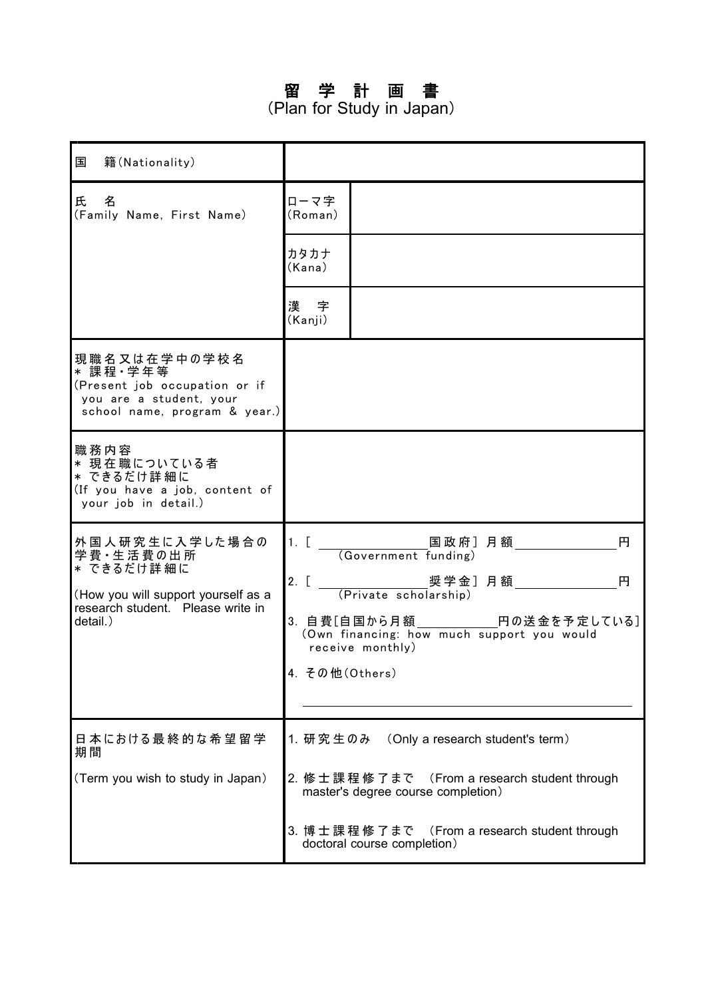# 留 学 計 画 書

(Plan for Study in Japan)

| 国<br>籍(Nationality)                                                                                                                |                          |                                                                                                                                         |
|------------------------------------------------------------------------------------------------------------------------------------|--------------------------|-----------------------------------------------------------------------------------------------------------------------------------------|
| 氏<br>名<br>(Family Name, First Name)                                                                                                | ローマ字<br>(Roman)          |                                                                                                                                         |
|                                                                                                                                    | カタカナ<br>(Kana)           |                                                                                                                                         |
|                                                                                                                                    | 漢字<br>(Kanji)            |                                                                                                                                         |
| 現 職 名 又 は 在 学 中 の 学 校 名<br>* 課程 · 学年等<br>(Present job occupation or if<br>you are a student, your<br>school name, program & year.) |                          |                                                                                                                                         |
| 職務内容<br>* 現在職についている者<br>* できるだけ詳 細に<br>(If you have a job, content of<br>your job in detail.)                                      |                          |                                                                                                                                         |
| 外国人研究生に入学した場合の<br>学費·生活費の出所<br>* できるだけ詳 細に<br>(How you will support yourself as a<br>research student. Please write in<br>detail.) | $2.$ [<br>4. その他(Others) | 1. [          国政府]月額_______________<br>(Government funding)<br>円<br>円<br>(Own financing: how much support you would<br>receive monthly) |
| 日本における最終的な希望留学<br>期間                                                                                                               |                          | 1. 研究生のみ (Only a research student's term)                                                                                               |
| (Term you wish to study in Japan)                                                                                                  |                          | 2. 修士課程修了まで (From a research student through<br>master's degree course completion)                                                      |
|                                                                                                                                    |                          | 3. 博士課程修了まで (From a research student through<br>doctoral course completion)                                                             |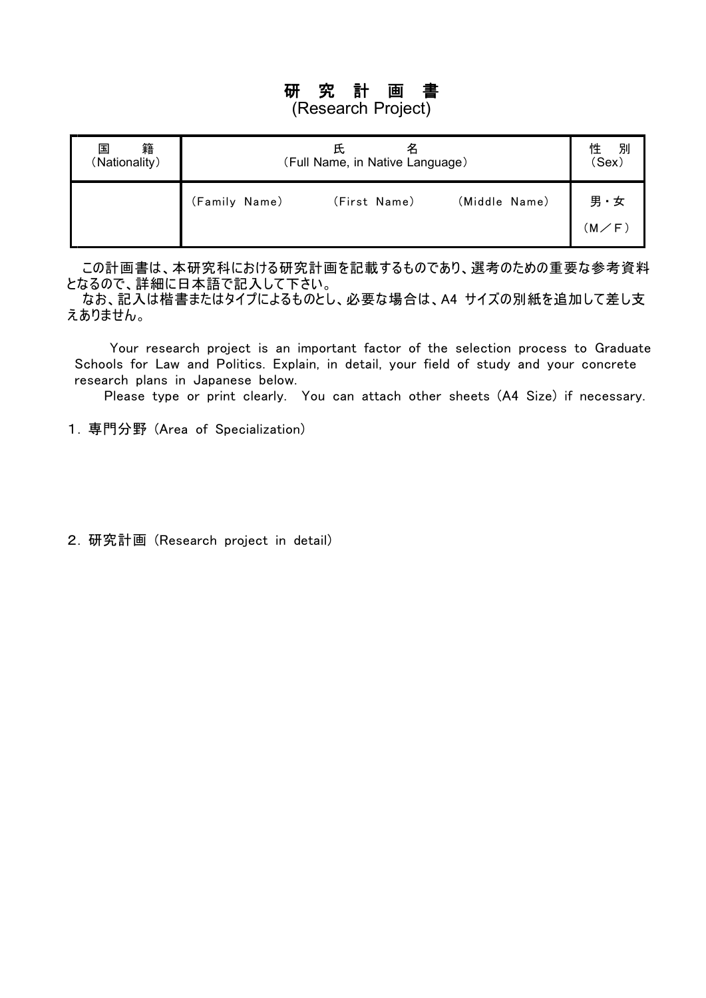# 研 究 計 画 書

## (Research Project)

| 籍<br>国<br>(Nationality) | (Full Name, in Native Language) | 別<br>性<br>(Sex) |               |                             |
|-------------------------|---------------------------------|-----------------|---------------|-----------------------------|
|                         | (Family Name)                   | (First Name)    | (Middle Name) | 男・女<br>$(\sf M\diagup F\,)$ |

この計画書は、本研究科における研究計画を記載するものであり、選考のための重要な参考資料 となるので、詳細に日本語で記入して下さい。

なお、記入は楷書またはタイプによるものとし、必要な場合は、A4 サイズの別紙を追加して差し支 えありません。

Your research project is an important factor of the selection process to Graduate Schools for Law and Politics. Explain, in detail, your field of study and your concrete research plans in Japanese below.

Please type or print clearly. You can attach other sheets (A4 Size) if necessary.

- 1. 専門分野 (Area of Specialization)
- 2. 研究計画 (Research project in detail)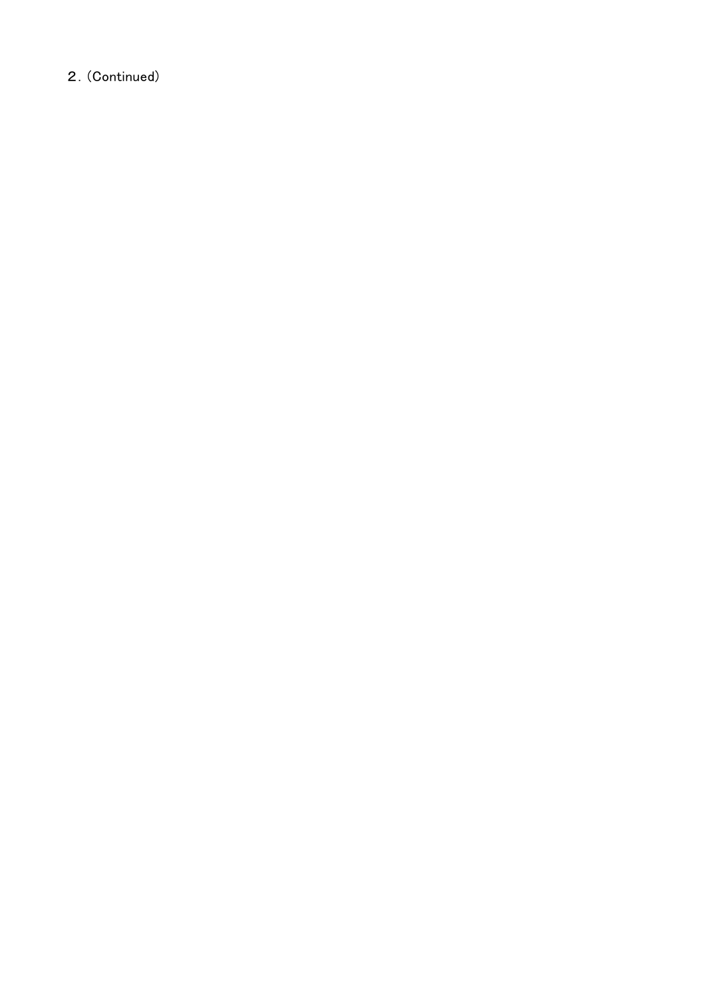### 2.(Continued)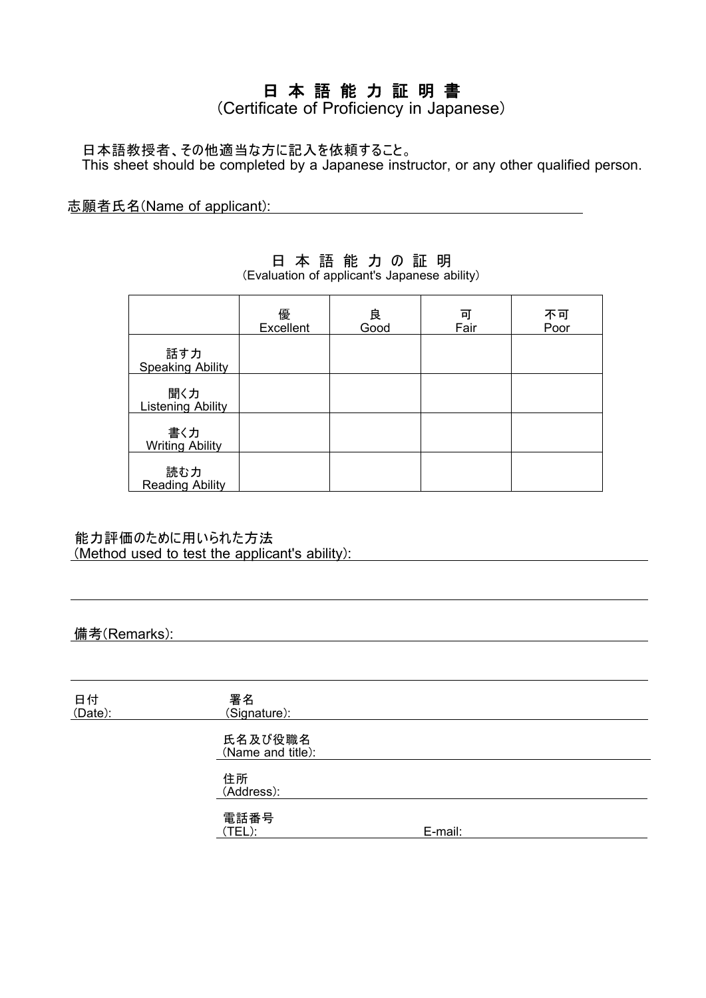## 日 本 語 能 力 証 明 書

(Certificate of Proficiency in Japanese)

日本語教授者、その他適当な方に記入を依頼すること。 This sheet should be completed by a Japanese instructor, or any other qualified person.

志願者氏名(Name of applicant):

|                                 | 優<br>Excellent | 良<br>Good | 可<br>Fair | 不可<br>Poor |
|---------------------------------|----------------|-----------|-----------|------------|
| 話す力<br><b>Speaking Ability</b>  |                |           |           |            |
| 聞く力<br><b>Listening Ability</b> |                |           |           |            |
| 書く力<br><b>Writing Ability</b>   |                |           |           |            |
| 読む力<br><b>Reading Ability</b>   |                |           |           |            |

### 日 本 語 能 力 の 証 明

(Evaluation of applicant's Japanese ability)

能力評価のために用いられた方法 (Method used to test the applicant's ability):

### 備考(Remarks):

| 日付<br>(Date): | 署名<br>(Signature):           |         |  |
|---------------|------------------------------|---------|--|
|               | 氏名及び役職名<br>(Name and title): |         |  |
|               | 住所<br>(Address):             |         |  |
|               | 電話番号<br>(TEL):               | E-mail: |  |